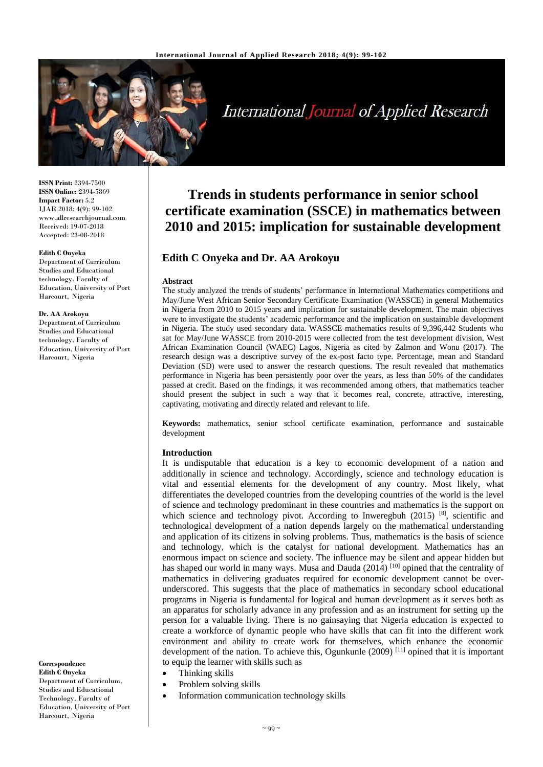

# **International Journal of Applied Research**

**ISSN Print:** 2394-7500 **ISSN Online:** 2394-5869 **Impact Factor:** 5.2 IJAR 2018; 4(9): 99-102 www.allresearchjournal.com Received: 19-07-2018 Accepted: 23-08-2018

#### **Edith C Onyeka**

Department of Curriculum Studies and Educational technology, Faculty of Education, University of Port Harcourt, Nigeria

#### **Dr. AA Arokoyu**

Department of Curriculum Studies and Educational technology, Faculty of Education, University of Port Harcourt, Nigeria

**Correspondence Edith C Onyeka** Department of Curriculum, Studies and Educational Technology, Faculty of Education, University of Port Harcourt, Nigeria

# **Trends in students performance in senior school certificate examination (SSCE) in mathematics between 2010 and 2015: implication for sustainable development**

# **Edith C Onyeka and Dr. AA Arokoyu**

#### **Abstract**

The study analyzed the trends of students' performance in International Mathematics competitions and May/June West African Senior Secondary Certificate Examination (WASSCE) in general Mathematics in Nigeria from 2010 to 2015 years and implication for sustainable development. The main objectives were to investigate the students' academic performance and the implication on sustainable development in Nigeria. The study used secondary data. WASSCE mathematics results of 9,396,442 Students who sat for May/June WASSCE from 2010-2015 were collected from the test development division, West African Examination Council (WAEC) Lagos, Nigeria as cited by Zalmon and Wonu (2017). The research design was a descriptive survey of the ex-post facto type. Percentage, mean and Standard Deviation (SD) were used to answer the research questions. The result revealed that mathematics performance in Nigeria has been persistently poor over the years, as less than 50% of the candidates passed at credit. Based on the findings, it was recommended among others, that mathematics teacher should present the subject in such a way that it becomes real, concrete, attractive, interesting, captivating, motivating and directly related and relevant to life.

**Keywords:** mathematics, senior school certificate examination, performance and sustainable development

#### **Introduction**

It is undisputable that education is a key to economic development of a nation and additionally in science and technology. Accordingly, science and technology education is vital and essential elements for the development of any country. Most likely, what differentiates the developed countries from the developing countries of the world is the level of science and technology predominant in these countries and mathematics is the support on which science and technology pivot. According to Inweregbuh (2015) [8], scientific and technological development of a nation depends largely on the mathematical understanding and application of its citizens in solving problems. Thus, mathematics is the basis of science and technology, which is the catalyst for national development. Mathematics has an enormous impact on science and society. The influence may be silent and appear hidden but has shaped our world in many ways. Musa and Dauda  $(2014)$  [10] opined that the centrality of mathematics in delivering graduates required for economic development cannot be overunderscored. This suggests that the place of mathematics in secondary school educational programs in Nigeria is fundamental for logical and human development as it serves both as an apparatus for scholarly advance in any profession and as an instrument for setting up the person for a valuable living. There is no gainsaying that Nigeria education is expected to create a workforce of dynamic people who have skills that can fit into the different work environment and ability to create work for themselves, which enhance the economic development of the nation. To achieve this, Ogunkunle (2009) [11] opined that it is important to equip the learner with skills such as

- Thinking skills
- Problem solving skills
- Information communication technology skills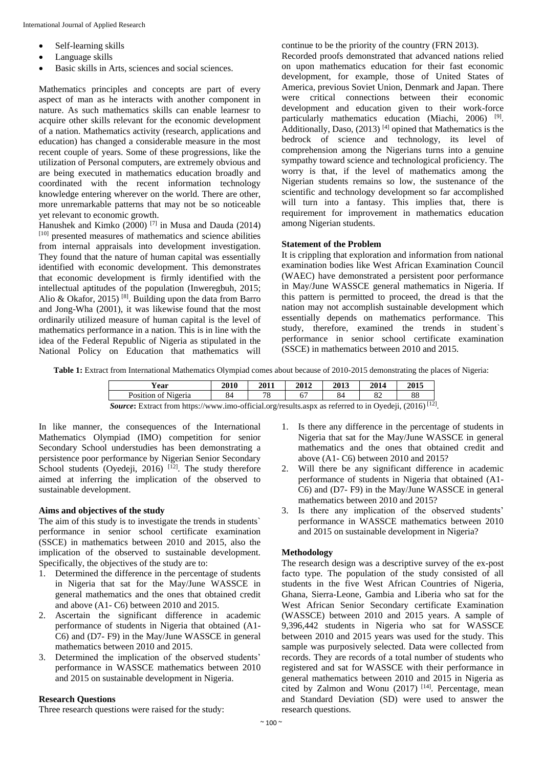- Self-learning skills
- Language skills
- Basic skills in Arts, sciences and social sciences.

Mathematics principles and concepts are part of every aspect of man as he interacts with another component in nature. As such mathematics skills can enable learnesr to acquire other skills relevant for the economic development of a nation. Mathematics activity (research, applications and education) has changed a considerable measure in the most recent couple of years. Some of these progressions, like the utilization of Personal computers, are extremely obvious and are being executed in mathematics education broadly and coordinated with the recent information technology knowledge entering wherever on the world. There are other, more unremarkable patterns that may not be so noticeable yet relevant to economic growth.

Hanushek and Kimko (2000) [7] in Musa and Dauda (2014)  $[10]$  presented measures of mathematics and science abilities from internal appraisals into development investigation. They found that the nature of human capital was essentially identified with economic development. This demonstrates that economic development is firmly identified with the intellectual aptitudes of the population (Inweregbuh, 2015; Alio & Okafor, 2015) <sup>[8]</sup>. Building upon the data from Barro and Jong-Wha (2001), it was likewise found that the most ordinarily utilized measure of human capital is the level of mathematics performance in a nation. This is in line with the idea of the Federal Republic of Nigeria as stipulated in the National Policy on Education that mathematics will continue to be the priority of the country (FRN 2013). Recorded proofs demonstrated that advanced nations relied on upon mathematics education for their fast economic development, for example, those of United States of America, previous Soviet Union, Denmark and Japan. There were critical connections between their economic development and education given to their work-force particularly mathematics education (Miachi, 2006)<sup>[9]</sup>. Additionally, Daso,  $(2013)$ <sup>[4]</sup> opined that Mathematics is the bedrock of science and technology, its level of comprehension among the Nigerians turns into a genuine sympathy toward science and technological proficiency. The worry is that, if the level of mathematics among the Nigerian students remains so low, the sustenance of the scientific and technology development so far accomplished will turn into a fantasy. This implies that, there is requirement for improvement in mathematics education among Nigerian students.

#### **Statement of the Problem**

It is crippling that exploration and information from national examination bodies like West African Examination Council (WAEC) have demonstrated a persistent poor performance in May/June WASSCE general mathematics in Nigeria. If this pattern is permitted to proceed, the dread is that the nation may not accomplish sustainable development which essentially depends on mathematics performance. This study, therefore, examined the trends in student`s performance in senior school certificate examination (SSCE) in mathematics between 2010 and 2015.

**Table 1:** Extract from International Mathematics Olympiad comes about because of 2010-2015 demonstrating the places of Nigeria:

| ∕ ear                                                                                                                                                                                               | 2010      | <b>2011</b> | 2012 | 2012 | 2014 | 2015 |
|-----------------------------------------------------------------------------------------------------------------------------------------------------------------------------------------------------|-----------|-------------|------|------|------|------|
| $\mathbf{v}$<br>Position of<br>Nigeria                                                                                                                                                              | O 1<br>04 | 70          | 67   | 84   | OΖ   | 88   |
| [10]<br>$\mathcal{C} = \mathbf{1}_H \cup H$ $\mathcal{C} = \mathbf{1}_H \cup H$ $\mathcal{C} = \mathbf{1}_H \cup \mathbf{1}_H$ $\mathcal{C} = \mathbf{1}_H \cup \mathbf{1}_H$<br>$(0.01 \times 11)$ |           |             |      |      |      |      |

Source: Extract from https://www.imo-official.org/results.aspx as referred to in Oyedeji, (2016)<sup>[12]</sup>.

In like manner, the consequences of the International Mathematics Olympiad (IMO) competition for senior Secondary School understudies has been demonstrating a persistence poor performance by Nigerian Senior Secondary School students (Oyedeji, 2016)  $[12]$ . The study therefore aimed at inferring the implication of the observed to sustainable development.

### **Aims and objectives of the study**

The aim of this study is to investigate the trends in students` performance in senior school certificate examination (SSCE) in mathematics between 2010 and 2015, also the implication of the observed to sustainable development. Specifically, the objectives of the study are to:

- 1. Determined the difference in the percentage of students in Nigeria that sat for the May/June WASSCE in general mathematics and the ones that obtained credit and above (A1- C6) between 2010 and 2015.
- 2. Ascertain the significant difference in academic performance of students in Nigeria that obtained (A1- C6) and (D7- F9) in the May/June WASSCE in general mathematics between 2010 and 2015.
- 3. Determined the implication of the observed students' performance in WASSCE mathematics between 2010 and 2015 on sustainable development in Nigeria.

#### **Research Questions**

Three research questions were raised for the study:

- 1. Is there any difference in the percentage of students in Nigeria that sat for the May/June WASSCE in general mathematics and the ones that obtained credit and above (A1- C6) between 2010 and 2015?
- 2. Will there be any significant difference in academic performance of students in Nigeria that obtained (A1- C6) and (D7- F9) in the May/June WASSCE in general mathematics between 2010 and 2015?
- 3. Is there any implication of the observed students' performance in WASSCE mathematics between 2010 and 2015 on sustainable development in Nigeria?

# **Methodology**

The research design was a descriptive survey of the ex-post facto type. The population of the study consisted of all students in the five West African Countries of Nigeria, Ghana, Sierra-Leone, Gambia and Liberia who sat for the West African Senior Secondary certificate Examination (WASSCE) between 2010 and 2015 years. A sample of 9,396,442 students in Nigeria who sat for WASSCE between 2010 and 2015 years was used for the study. This sample was purposively selected. Data were collected from records. They are records of a total number of students who registered and sat for WASSCE with their performance in general mathematics between 2010 and 2015 in Nigeria as cited by Zalmon and Wonu  $(2017)$ <sup>[14]</sup>. Percentage, mean and Standard Deviation (SD) were used to answer the research questions.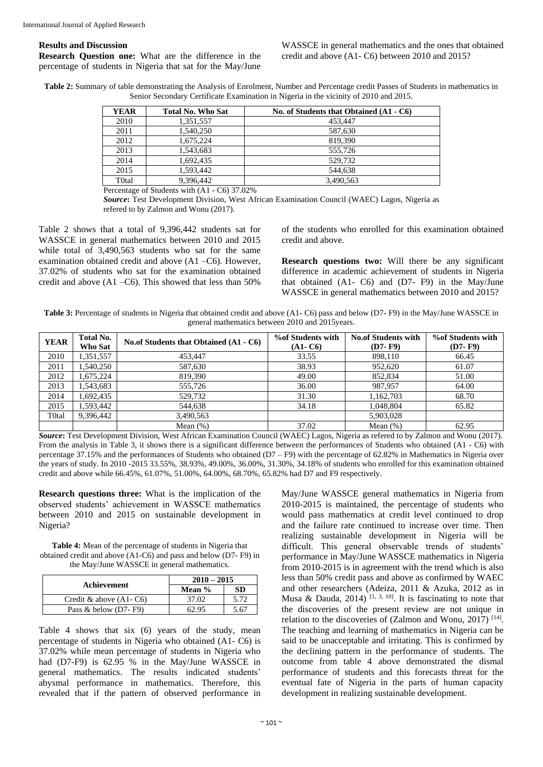#### **Results and Discussion**

**Research Question one:** What are the difference in the percentage of students in Nigeria that sat for the May/June

WASSCE in general mathematics and the ones that obtained credit and above (A1- C6) between 2010 and 2015?

**Table 2:** Summary of table demonstrating the Analysis of Enrolment, Number and Percentage credit Passes of Students in mathematics in Senior Secondary Certificate Examination in Nigeria in the vicinity of 2010 and 2015.

| <b>YEAR</b> | <b>Total No. Who Sat</b> | No. of Students that Obtained (A1 - C6) |
|-------------|--------------------------|-----------------------------------------|
| 2010        | 1,351,557                | 453.447                                 |
| 2011        | 1,540,250                | 587,630                                 |
| 2012        | 1,675,224                | 819,390                                 |
| 2013        | 1,543,683                | 555,726                                 |
| 2014        | 1,692,435                | 529,732                                 |
| 2015        | 1,593,442                | 544.638                                 |
| T0tal       | 9,396,442                | 3.490.563                               |

Percentage of Students with (A1 - C6) 37.02%

*Source***:** Test Development Division, West African Examination Council (WAEC) Lagos, Nigeria as refered to by Zalmon and Wonu (2017).

Table 2 shows that a total of 9,396,442 students sat for WASSCE in general mathematics between 2010 and 2015 while total of 3,490,563 students who sat for the same examination obtained credit and above (A1 –C6). However, 37.02% of students who sat for the examination obtained credit and above  $(A1 - C6)$ . This showed that less than 50%

of the students who enrolled for this examination obtained credit and above.

**Research questions two:** Will there be any significant difference in academic achievement of students in Nigeria that obtained (A1- C6) and (D7- F9) in the May/June WASSCE in general mathematics between 2010 and 2015?

**Table 3:** Percentage of students in Nigeria that obtained credit and above (A1- C6) pass and below (D7- F9) in the May/June WASSCE in general mathematics between 2010 and 2015years.

| <b>YEAR</b>   | Total No. | No.of Students that Obtained (A1 - C6) | % of Students with | <b>No.of Students with</b> | % of Students with |
|---------------|-----------|----------------------------------------|--------------------|----------------------------|--------------------|
|               | Who Sat   |                                        | $(A1-C6)$          | $(D7 - F9)$                | $(D7 - F9)$        |
| 2010          | 1.351.557 | 453,447                                | 33.55              | 898.110                    | 66.45              |
| 2011          | 1,540,250 | 587,630                                | 38.93              | 952,620                    | 61.07              |
| 2012          | 1.675.224 | 819.390                                | 49.00              | 852,834                    | 51.00              |
| 2013          | 1,543,683 | 555,726                                | 36.00              | 987,957                    | 64.00              |
| 2014          | 1,692,435 | 529,732                                | 31.30              | 1.162.703                  | 68.70              |
| 2015          | 1,593,442 | 544,638                                | 34.18              | 1.048.804                  | 65.82              |
| <b>T</b> Otal | 9,396,442 | 3,490,563                              |                    | 5,903,028                  |                    |
|               |           | Mean $(\%)$                            | 37.02              | Mean $(\%)$                | 62.95              |

*Source***:** Test Development Division, West African Examination Council (WAEC) Lagos, Nigeria as refered to by Zalmon and Wonu (2017). From the analysis in Table 3, it shows there is a significant difference between the performances of Students who obtained (A1 - C6) with percentage 37.15% and the performances of Students who obtained (D7 – F9) with the percentage of 62.82% in Mathematics in Nigeria over the years of study. In 2010 -2015 33.55%, 38.93%, 49.00%, 36.00%, 31.30%, 34.18% of students who enrolled for this examination obtained credit and above while 66.45%, 61.07%, 51.00%, 64.00%, 68.70%, 65.82% had D7 and F9 respectively.

**Research questions three:** What is the implication of the observed students' achievement in WASSCE mathematics between 2010 and 2015 on sustainable development in Nigeria?

**Table 4:** Mean of the percentage of students in Nigeria that obtained credit and above (A1-C6) and pass and below (D7- F9) in the May/June WASSCE in general mathematics.

|                            | $2010 - 2015$ |      |  |
|----------------------------|---------------|------|--|
| Achievement                | Mean $%$      | SD   |  |
| Credit & above $(A1 - C6)$ | 37.02         | 5.72 |  |
| Pass & below $(D7 - F9)$   | 62 Q5         | 5.67 |  |

Table 4 shows that six (6) years of the study, mean percentage of students in Nigeria who obtained (A1- C6) is 37.02% while mean percentage of students in Nigeria who had (D7-F9) is 62.95 % in the May/June WASSCE in general mathematics. The results indicated students' abysmal performance in mathematics. Therefore, this revealed that if the pattern of observed performance in May/June WASSCE general mathematics in Nigeria from 2010-2015 is maintained, the percentage of students who would pass mathematics at credit level continued to drop and the failure rate continued to increase over time. Then realizing sustainable development in Nigeria will be difficult. This general observable trends of students' performance in May/June WASSCE mathematics in Nigeria from 2010-2015 is in agreement with the trend which is also less than 50% credit pass and above as confirmed by WAEC and other researchers (Adeiza, 2011 & Azuka, 2012 as in Musa & Dauda, 2014)<sup>[1, 3, 10]</sup>. It is fascinating to note that the discoveries of the present review are not unique in relation to the discoveries of (Zalmon and Wonu, 2017)<sup>[14]</sup>. The teaching and learning of mathematics in Nigeria can be said to be unacceptable and irritating. This is confirmed by the declining pattern in the performance of students. The outcome from table 4 above demonstrated the dismal performance of students and this forecasts threat for the eventual fate of Nigeria in the parts of human capacity development in realizing sustainable development.